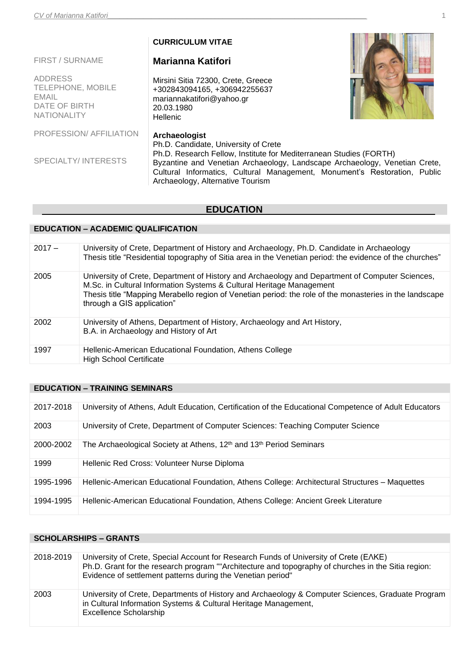|                                                                                            | <b>CURRICULUM VITAE</b>                                                                                                                                                                                                                                                                                   |  |
|--------------------------------------------------------------------------------------------|-----------------------------------------------------------------------------------------------------------------------------------------------------------------------------------------------------------------------------------------------------------------------------------------------------------|--|
| <b>FIRST / SURNAME</b>                                                                     | <b>Marianna Katifori</b>                                                                                                                                                                                                                                                                                  |  |
| <b>ADDRESS</b><br>TELEPHONE, MOBILE<br><b>EMAIL</b><br>DATE OF BIRTH<br><b>NATIONALITY</b> | Mirsini Sitia 72300, Crete, Greece<br>+302843094165, +306942255637<br>mariannakatifori@yahoo.gr<br>20.03.1980<br>Hellenic                                                                                                                                                                                 |  |
| PROFESSION/AFFILIATION                                                                     | Archaeologist                                                                                                                                                                                                                                                                                             |  |
| <b>SPECIALTY/INTERESTS</b>                                                                 | Ph.D. Candidate, University of Crete<br>Ph.D. Research Fellow, Institute for Mediterranean Studies (FORTH)<br>Byzantine and Venetian Archaeology, Landscape Archaeology, Venetian Crete,<br>Cultural Informatics, Cultural Management, Monument's Restoration, Public<br>Archaeology, Alternative Tourism |  |

# **EDUCATION**

## **EDUCATION – ACADEMIC QUALIFICATION**

| $2017 -$ | University of Crete, Department of History and Archaeology, Ph.D. Candidate in Archaeology<br>Thesis title "Residential topography of Sitia area in the Venetian period: the evidence of the churches"                                                                                                           |
|----------|------------------------------------------------------------------------------------------------------------------------------------------------------------------------------------------------------------------------------------------------------------------------------------------------------------------|
| 2005     | University of Crete, Department of History and Archaeology and Department of Computer Sciences,<br>M.Sc. in Cultural Information Systems & Cultural Heritage Management<br>Thesis title "Mapping Merabello region of Venetian period: the role of the monasteries in the landscape<br>through a GIS application" |
| 2002     | University of Athens, Department of History, Archaeology and Art History,<br>B.A. in Archaeology and History of Art                                                                                                                                                                                              |
| 1997     | Hellenic-American Educational Foundation, Athens College<br><b>High School Certificate</b>                                                                                                                                                                                                                       |

# **EDUCATION – TRAINING SEMINARS**

| 2017-2018 | University of Athens, Adult Education, Certification of the Educational Competence of Adult Educators |
|-----------|-------------------------------------------------------------------------------------------------------|
| 2003      | University of Crete, Department of Computer Sciences: Teaching Computer Science                       |
| 2000-2002 | The Archaeological Society at Athens, 12 <sup>th</sup> and 13 <sup>th</sup> Period Seminars           |
| 1999      | Hellenic Red Cross: Volunteer Nurse Diploma                                                           |
| 1995-1996 | Hellenic-American Educational Foundation, Athens College: Architectural Structures – Maquettes        |
| 1994-1995 | Hellenic-American Educational Foundation, Athens College: Ancient Greek Literature                    |

# **SCHOLARSHIPS – GRANTS**

| 2018-2019 | University of Crete, Special Account for Research Funds of University of Crete (EAKE)<br>Ph.D. Grant for the research program ""Architecture and topography of churches in the Sitia region:<br>Evidence of settlement patterns during the Venetian period" |
|-----------|-------------------------------------------------------------------------------------------------------------------------------------------------------------------------------------------------------------------------------------------------------------|
| 2003      | University of Crete, Departments of History and Archaeology & Computer Sciences, Graduate Program<br>in Cultural Information Systems & Cultural Heritage Management,<br>Excellence Scholarship                                                              |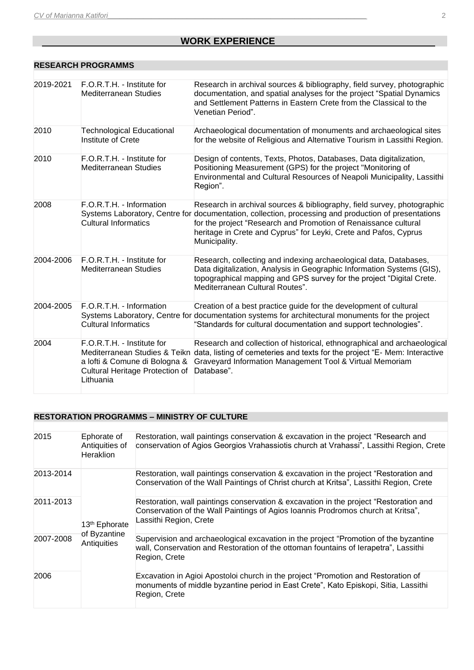# **MORK EXPERIENCE**

#### **RESEARCH PROGRAMMS**

| 2019-2021 | F.O.R.T.H. - Institute for<br>Mediterranean Studies                                                                                          | Research in archival sources & bibliography, field survey, photographic<br>documentation, and spatial analyses for the project "Spatial Dynamics<br>and Settlement Patterns in Eastern Crete from the Classical to the<br>Venetian Period".                                                                                             |
|-----------|----------------------------------------------------------------------------------------------------------------------------------------------|-----------------------------------------------------------------------------------------------------------------------------------------------------------------------------------------------------------------------------------------------------------------------------------------------------------------------------------------|
| 2010      | <b>Technological Educational</b><br>Institute of Crete                                                                                       | Archaeological documentation of monuments and archaeological sites<br>for the website of Religious and Alternative Tourism in Lassithi Region.                                                                                                                                                                                          |
| 2010      | F.O.R.T.H. - Institute for<br><b>Mediterranean Studies</b>                                                                                   | Design of contents, Texts, Photos, Databases, Data digitalization,<br>Positioning Measurement (GPS) for the project "Monitoring of<br>Environmental and Cultural Resources of Neapoli Municipality, Lassithi<br>Region".                                                                                                                |
| 2008      | F.O.R.T.H. - Information<br><b>Cultural Informatics</b>                                                                                      | Research in archival sources & bibliography, field survey, photographic<br>Systems Laboratory, Centre for documentation, collection, processing and production of presentations<br>for the project "Research and Promotion of Renaissance cultural<br>heritage in Crete and Cyprus" for Leyki, Crete and Pafos, Cyprus<br>Municipality. |
| 2004-2006 | F.O.R.T.H. - Institute for<br><b>Mediterranean Studies</b>                                                                                   | Research, collecting and indexing archaeological data, Databases,<br>Data digitalization, Analysis in Geographic Information Systems (GIS),<br>topographical mapping and GPS survey for the project "Digital Crete.<br>Mediterranean Cultural Routes".                                                                                  |
| 2004-2005 | F.O.R.T.H. - Information<br><b>Cultural Informatics</b>                                                                                      | Creation of a best practice guide for the development of cultural<br>Systems Laboratory, Centre for documentation systems for architectural monuments for the project<br>"Standards for cultural documentation and support technologies".                                                                                               |
| 2004      | F.O.R.T.H. - Institute for<br>Mediterranean Studies & Teikn<br>a lofti & Comune di Bologna &<br>Cultural Heritage Protection of<br>Lithuania | Research and collection of historical, ethnographical and archaeological<br>data, listing of cemeteries and texts for the project "E- Mem: Interactive<br>Graveyard Information Management Tool & Virtual Memoriam<br>Database".                                                                                                        |

## **RESTORATION PROGRAMMS – MINISTRY OF CULTURE**

| 2015      | Ephorate of<br>Antiquities of<br><b>Heraklion</b>        | Restoration, wall paintings conservation & excavation in the project "Research and<br>conservation of Agios Georgios Vrahassiotis church at Vrahassi", Lassithi Region, Crete                       |
|-----------|----------------------------------------------------------|-----------------------------------------------------------------------------------------------------------------------------------------------------------------------------------------------------|
| 2013-2014 | 13 <sup>th</sup> Ephorate<br>of Byzantine<br>Antiquities | Restoration, wall paintings conservation & excavation in the project "Restoration and<br>Conservation of the Wall Paintings of Christ church at Kritsa", Lassithi Region, Crete                     |
| 2011-2013 |                                                          | Restoration, wall paintings conservation & excavation in the project "Restoration and<br>Conservation of the Wall Paintings of Agios Ioannis Prodromos church at Kritsa",<br>Lassithi Region, Crete |
| 2007-2008 |                                                          | Supervision and archaeological excavation in the project "Promotion of the byzantine"<br>wall, Conservation and Restoration of the ottoman fountains of lerapetra", Lassithi<br>Region, Crete       |
| 2006      |                                                          | Excavation in Agioi Apostoloi church in the project "Promotion and Restoration of<br>monuments of middle byzantine period in East Crete", Kato Episkopi, Sitia, Lassithi<br>Region, Crete           |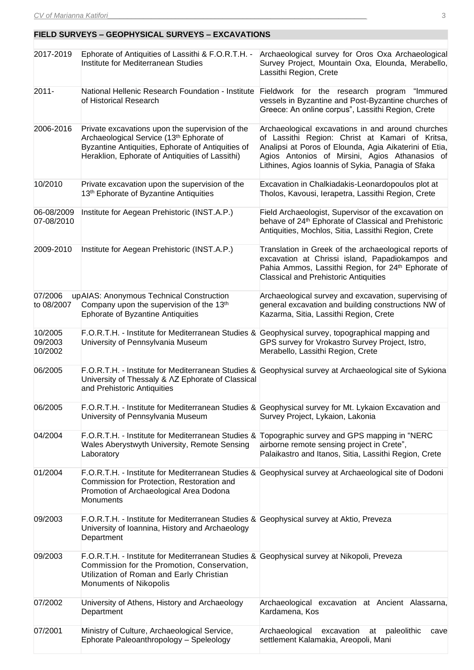## **FIELD SURVEYS – GEOPHYSICAL SURVEYS – EXCAVATIONS**

| 2017-2019                     | Ephorate of Antiquities of Lassithi & F.O.R.T.H. -<br>Institute for Mediterranean Studies                                                                                                                       | Archaeological survey for Oros Oxa Archaeological<br>Survey Project, Mountain Oxa, Elounda, Merabello,<br>Lassithi Region, Crete                                                                                                                                       |
|-------------------------------|-----------------------------------------------------------------------------------------------------------------------------------------------------------------------------------------------------------------|------------------------------------------------------------------------------------------------------------------------------------------------------------------------------------------------------------------------------------------------------------------------|
| $2011 -$                      | National Hellenic Research Foundation - Institute<br>of Historical Research                                                                                                                                     | Fieldwork for the research program "Immured"<br>vessels in Byzantine and Post-Byzantine churches of<br>Greece: An online corpus", Lassithi Region, Crete                                                                                                               |
| 2006-2016                     | Private excavations upon the supervision of the<br>Archaeological Service (13th Ephorate of<br>Byzantine Antiquities, Ephorate of Antiquities of<br>Heraklion, Ephorate of Antiquities of Lassithi)             | Archaeological excavations in and around churches<br>of Lassithi Region: Christ at Kamari of Kritsa,<br>Analipsi at Poros of Elounda, Agia Aikaterini of Etia,<br>Agios Antonios of Mirsini, Agios Athanasios of<br>Lithines, Agios Ioannis of Sykia, Panagia of Sfaka |
| 10/2010                       | Private excavation upon the supervision of the<br>13 <sup>th</sup> Ephorate of Byzantine Antiquities                                                                                                            | Excavation in Chalkiadakis-Leonardopoulos plot at<br>Tholos, Kavousi, Ierapetra, Lassithi Region, Crete                                                                                                                                                                |
| 06-08/2009<br>07-08/2010      | Institute for Aegean Prehistoric (INST.A.P.)                                                                                                                                                                    | Field Archaeologist, Supervisor of the excavation on<br>behave of 24th Ephorate of Classical and Prehistoric<br>Antiquities, Mochlos, Sitia, Lassithi Region, Crete                                                                                                    |
| 2009-2010                     | Institute for Aegean Prehistoric (INST.A.P.)                                                                                                                                                                    | Translation in Greek of the archaeological reports of<br>excavation at Chrissi island, Papadiokampos and<br>Pahia Ammos, Lassithi Region, for 24th Ephorate of<br><b>Classical and Prehistoric Antiquities</b>                                                         |
| 07/2006<br>to 08/2007         | up AIAS: Anonymous Technical Construction<br>Company upon the supervision of the 13th<br><b>Ephorate of Byzantine Antiquities</b>                                                                               | Archaeological survey and excavation, supervising of<br>general excavation and building constructions NW of<br>Kazarma, Sitia, Lassithi Region, Crete                                                                                                                  |
| 10/2005<br>09/2003<br>10/2002 | F.O.R.T.H. - Institute for Mediterranean Studies & Geophysical survey, topographical mapping and<br>University of Pennsylvania Museum                                                                           | GPS survey for Vrokastro Survey Project, Istro,<br>Merabello, Lassithi Region, Crete                                                                                                                                                                                   |
| 06/2005                       | University of Thessaly & AZ Ephorate of Classical<br>and Prehistoric Antiquities                                                                                                                                | F.O.R.T.H. - Institute for Mediterranean Studies & Geophysical survey at Archaeological site of Sykiona                                                                                                                                                                |
| 06/2005                       | University of Pennsylvania Museum                                                                                                                                                                               | F.O.R.T.H. - Institute for Mediterranean Studies & Geophysical survey for Mt. Lykaion Excavation and<br>Survey Project, Lykaion, Lakonia                                                                                                                               |
| 04/2004                       | F.O.R.T.H. - Institute for Mediterranean Studies & Topographic survey and GPS mapping in "NERC<br>Wales Aberystwyth University, Remote Sensing<br>Laboratory                                                    | airborne remote sensing project in Crete",<br>Palaikastro and Itanos, Sitia, Lassithi Region, Crete                                                                                                                                                                    |
| 01/2004                       | Commission for Protection, Restoration and<br>Promotion of Archaeological Area Dodona<br>Monuments                                                                                                              | F.O.R.T.H. - Institute for Mediterranean Studies & Geophysical survey at Archaeological site of Dodoni                                                                                                                                                                 |
| 09/2003                       | F.O.R.T.H. - Institute for Mediterranean Studies & Geophysical survey at Aktio, Preveza<br>University of Ioannina, History and Archaeology<br>Department                                                        |                                                                                                                                                                                                                                                                        |
| 09/2003                       | F.O.R.T.H. - Institute for Mediterranean Studies & Geophysical survey at Nikopoli, Preveza<br>Commission for the Promotion, Conservation,<br>Utilization of Roman and Early Christian<br>Monuments of Nikopolis |                                                                                                                                                                                                                                                                        |
| 07/2002                       | University of Athens, History and Archaeology<br>Department                                                                                                                                                     | Archaeological excavation at Ancient Alassarna,<br>Kardamena, Kos                                                                                                                                                                                                      |
| 07/2001                       | Ministry of Culture, Archaeological Service,<br>Ephorate Paleoanthropology - Speleology                                                                                                                         | Archaeological<br>paleolithic<br>excavation<br>at<br>cave<br>settlement Kalamakia, Areopoli, Mani                                                                                                                                                                      |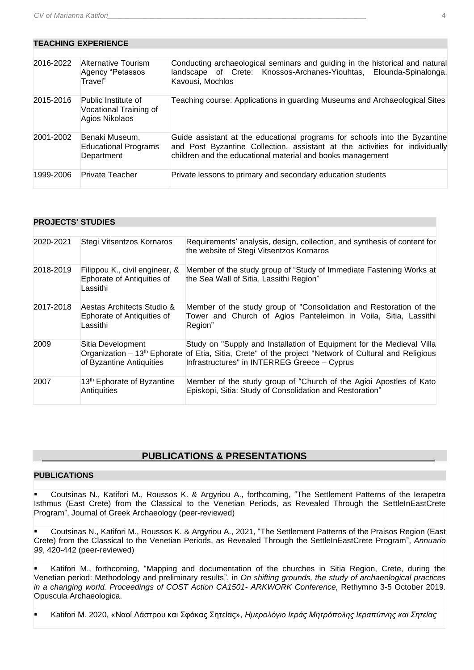#### **TEACHING EXPERIENCE**

| 2016-2022 | Alternative Tourism<br>Agency "Petassos<br>Travel"              | Conducting archaeological seminars and guiding in the historical and natural<br>landscape of Crete: Knossos-Archanes-Yiouhtas, Elounda-Spinalonga,<br>Kavousi, Mochlos                                                  |
|-----------|-----------------------------------------------------------------|-------------------------------------------------------------------------------------------------------------------------------------------------------------------------------------------------------------------------|
| 2015-2016 | Public Institute of<br>Vocational Training of<br>Agios Nikolaos | Teaching course: Applications in guarding Museums and Archaeological Sites                                                                                                                                              |
| 2001-2002 | Benaki Museum,<br><b>Educational Programs</b><br>Department     | Guide assistant at the educational programs for schools into the Byzantine<br>and Post Byzantine Collection, assistant at the activities for individually<br>children and the educational material and books management |
| 1999-2006 | <b>Private Teacher</b>                                          | Private lessons to primary and secondary education students                                                                                                                                                             |

#### **PROJECTS' STUDIES**

| 2020-2021 | Stegi Vitsentzos Kornaros                                                | Requirements' analysis, design, collection, and synthesis of content for<br>the website of Stegi Vitsentzos Kornaros                                                                                                                       |
|-----------|--------------------------------------------------------------------------|--------------------------------------------------------------------------------------------------------------------------------------------------------------------------------------------------------------------------------------------|
| 2018-2019 | Filippou K., civil engineer, &<br>Ephorate of Antiquities of<br>Lassithi | Member of the study group of "Study of Immediate Fastening Works at<br>the Sea Wall of Sitia, Lassithi Region"                                                                                                                             |
| 2017-2018 | Aestas Architects Studio &<br>Ephorate of Antiquities of<br>Lassithi     | Member of the study group of "Consolidation and Restoration of the<br>Tower and Church of Agios Panteleimon in Voila, Sitia, Lassithi<br>Region"                                                                                           |
| 2009      | Sitia Development<br>of Byzantine Antiquities                            | Study on "Supply and Installation of Equipment for the Medieval Villa<br>Organization – 13 <sup>th</sup> Ephorate of Etia, Sitia, Crete" of the project "Network of Cultural and Religious<br>Infrastructures" in INTERREG Greece - Cyprus |
| 2007      | 13 <sup>th</sup> Ephorate of Byzantine<br>Antiquities                    | Member of the study group of "Church of the Agioi Apostles of Kato"<br>Episkopi, Sitia: Study of Consolidation and Restoration"                                                                                                            |

#### **PUBLICATIONS & PRESENTATIONS**

### **PUBLICATIONS**

Coutsinas N., Katifori M., Roussos K. & Argyriou A., forthcoming, "The Settlement Patterns of the Ierapetra Isthmus (East Crete) from the Classical to the Venetian Periods, as Revealed Through the SettleInEastCrete Program", Journal of Greek Archaeology (peer-reviewed)

Coutsinas N., Katifori M., Roussos K. & Argyriou A., 2021, "The Settlement Patterns of the Praisos Region (East Crete) from the Classical to the Venetian Periods, as Revealed Through the SettleInEastCrete Program", *Annuario 99*, 420-442 (peer-reviewed)

Katifori M., forthcoming, "Mapping and documentation of the churches in Sitia Region, Crete, during the Venetian period: Methodology and preliminary results", in *On shifting grounds, the study of archaeological practices in a changing world. Proceedings of COST Action CA1501- ARKWORK Conference,* Rethymno 3-5 October 2019. Opuscula Archaeologica.

▪ Katifori Μ. 2020, «Ναοί Λάστρου και Σφάκας Σητείας», *Ημερολόγιο Ιεράς Μητρόπολης Ιεραπύτνης και Σητείας*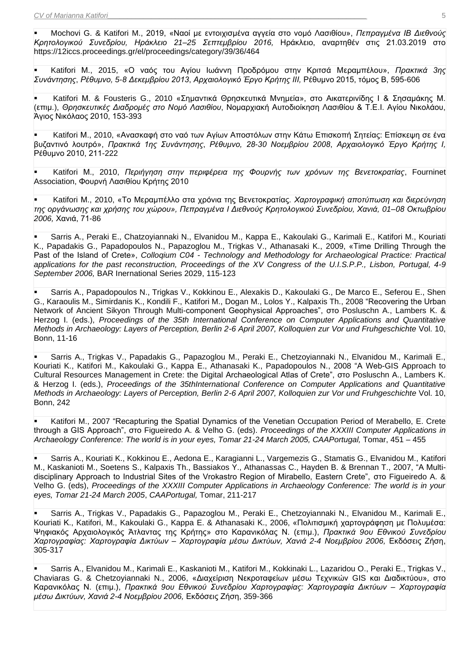▪ Mochovi G. & Katifori M., 2019, «Ναοί με εντοιχισμένα αγγεία στο νομό Λασιθίου», *Πεπραγμένα ΙΒ Διεθνούς Κρητολογικού Συνεδρίου, Ηράκλειο 21–25 Σεπτεμβρίου 2016,* Ηράκλειο, αναρτηθέν στις 21.03.2019 στο <https://12iccs.proceedings.gr/el/proceedings/category/39/36/464>

▪ Katifori Μ., 2015, «Ο ναός του Αγίου Ιωάννη Προδρόμου στην Κριτσά Μεραμπέλου», *Πρακτικά 3ης Συνάντησης*, *Ρέθυμνο, 5-8 Δεκεμβρίου 2013*, *Αρχαιολογικό Έργο Κρήτης ΙΙΙ,* Ρέθυμνο 2015, τόμος Β, 595-606

▪ Katifori Μ. & Fousteris G., 2010 «Σημαντικά Θρησκευτικά Μνημεία», στο Αικατερινίδης Ι & Σησαμάκης Μ. (επιμ.), *Θρησκευτικές Διαδρομές στο Νομό Λασιθίου*, Νομαρχιακή Αυτοδιοίκηση Λασιθίου & Τ.Ε.Ι. Αγίου Νικολάου, Άγιος Νικόλαος 2010, 153-393

Katifori Μ., 2010, «Ανασκαφή στο ναό των Αγίων Αποστόλων στην Κάτω Επισκοπή Σητείας: Επίσκεψη σε ένα βυζαντινό λουτρό», *Πρακτικά 1ης Συνάντησης*, *Ρέθυμνο, 28-30 Νοεμβρίου 2008*, *Αρχαιολογικό Έργο Κρήτης Ι,* Ρέθυμνο 2010, 211-222

▪ Katifori Μ., 2010, *Περιήγηση στην περιφέρεια της Φουρνής των χρόνων της Βενετοκρατίας*, Fourninet Association, Φουρνή Λασιθίου Κρήτης 2010

Katifori Μ., 2010, «Το Μεραμπέλλο στα χρόνια της Βενετοκρατίας. Χαρτογραφική αποτύπωση και διερεύνηση *της οργάνωσης και χρήσης του χώρου», Πεπραγμένα Ι Διεθνούς Κρητολογικού Συνεδρίου, Χανιά, 01–08 Οκτωβρίου 2006,* Χανιά, 71-86

Sarris A., Peraki E., Chatzoyiannaki N., Elvanidou M., Kappa E., Kakoulaki G., Karimali E., Katifori M., Kouriati K., Papadakis G., Papadopoulos N., Papazoglou M., Trigkas V., Athanasaki K., 2009, «Time Drilling Through the Past of the Island of Crete», *Colloqium C04 - Technology and Methodology for Archaeological Practice: Practical applications for the past reconstruction, Proceedings of the XV Congress of the U.I.S.P.P., Lisbon, Portugal, 4-9 September 2006,* BAR Inernational Series 2029, 115-123

Sarris A., Papadopoulos N., Trigkas V., Kokkinou E., Alexakis D., Kakoulaki G., De Marco E., Seferou E., Shen G., Karaoulis M., Simirdanis K., Kondili F., Katifori M., Dogan M., Lolos Y., Kalpaxis Th., 2008 "Recovering the Urban Network of Ancient Sikyon Through Multi-component Geophysical Approaches", στο Posluschn A., Lambers K. & Herzog I. (eds.), *Proceedings of the 35th International Conference on Computer Applications and Quantitative Methods in Archaeology: Layers of Perception, Berlin 2-6 April 2007, Kolloquien zur Vor und Fruhgeschichte* Vol. 10, Bonn, 11-16

Sarris A., Trigkas V., Papadakis G., Papazoglou M., Peraki E., Chetzoyiannaki N., Elvanidou M., Karimali E., Kouriati K., Katifori M., Kakoulaki G., Kappa E., Athanasaki K., Papadopoulos N., 2008 "A Web-GIS Approach to Cultural Resources Management in Crete: the Digital Archaeological Atlas of Crete", στο Posluschn A., Lambers K. & Herzog I. (eds.), *Proceedings of the 35thInternational Conference on Computer Applications and Quantitative Methods in Archaeology: Layers of Perception, Berlin 2-6 April 2007, Kolloquien zur Vor und Fruhgeschichte* Vol. 10, Bonn, 242

Katifori M., 2007 "Recapturing the Spatial Dynamics of the Venetian Occupation Period of Merabello, E. Crete through a GIS Approach", στο Figueiredo A. & Velho G. (eds). *Proceedings of the XXXIII Computer Applications in Archaeology Conference: The world is in your eyes, Tomar 21-24 March 2005, CAAPortugal,* Tomar, 451 – 455

Sarris A., Kouriati K., Kokkinou E., Aedona E., Karagianni L., Vargemezis G., Stamatis G., Elvanidou M., Katifori M., Kaskanioti M., Soetens S., Kalpaxis Th., Bassiakos Y., Athanassas C., Hayden B. & Brennan T., 2007, "A Multidisciplinary Approach to Industrial Sites of the Vrokastro Region of Mirabello, Eastern Crete", στο Figueiredo A. & Velho G. (eds), *Proceedings of the XXXIII Computer Applications in Archaeology Conference: The world is in your eyes, Tomar 21-24 March 2005*, *CAAPortugal,* Tomar, 211-217

Sarris A., Trigkas V., Papadakis G., Papazoglou M., Peraki E., Chetzoviannaki N., Elvanidou M., Karimali E., Kouriati Κ., Katifori, Μ., Kakoulaki G., Kappa E. & Athanasaki K., 2006, «Πολιτισμική χαρτογράφηση με Πολυμέσα: Ψηφιακός Αρχαιολογικός Άτλαντας της Κρήτης» στο Καρανικόλας Ν. (επιμ.), *Πρακτικά 9ου Εθνικού Συνεδρίου Χαρτογραφίας: Χαρτογραφία Δικτύων – Χαρτογραφία μέσω Δικτύων, Χανιά 2-4 Νοεμβρίου 2006,* Εκδόσεις Ζήση, 305-317

Sarris A., Elvanidou M., Karimali E., Kaskanioti M., Katifori M., Kokkinaki L., Lazaridou O., Peraki E., Trigkas V., Chaviaras G. & Chetzoyiannaki N., 2006, «Διαχείριση Νεκροταφείων μέσω Τεχνικών GIS και Διαδικτύου», στο Καρανικόλας Ν. (επιμ.), *Πρακτικά 9ου Εθνικού Συνεδρίου Χαρτογραφίας: Χαρτογραφία Δικτύων – Χαρτογραφία μέσω Δικτύων, Χανιά 2-4 Νοεμβρίου 2006,* Εκδόσεις Ζήση, 359-366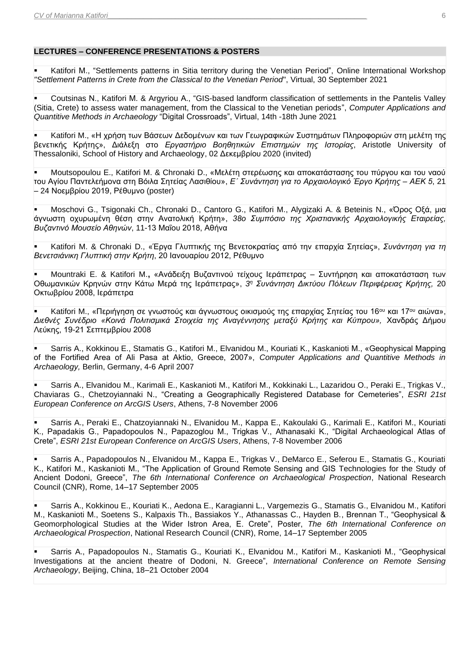## **LECTURES – CONFERENCE PRESENTATIONS & POSTERS**

Katifori M., "Settlements patterns in Sitia territory during the Venetian Period", Online International Workshop *"Settlement Patterns in Crete from the Classical to the Venetian Period*", Virtual, 30 September 2021

Coutsinas Ν., Katifori Μ. & Argyriou A., "GIS-based landform classification of settlements in the Pantelis Valley (Sitia, Crete) to assess water management, from the Classical to the Venetian periods", *Computer Applications and Quantitive Methods in Archaeology* "Digital Crossroads", Virtual, 14th -18th June 2021

▪ Katifori M., «Η χρήση των Βάσεων Δεδομένων και των Γεωγραφικών Συστημάτων Πληροφοριών στη μελέτη της βενετικής Κρήτης», Διάλεξη στο *Εργαστήριο Βοηθητικών Επιστημών της Ιστορίας*, Aristotle University of Thessaloniki, School of History and Archaeology, 02 Δεκεμβρίου 2020 (invited)

Moutsopoulou E., Katifori M. & Chronaki D., «Μελέτη στερέωσης και αποκατάστασης του πύργου και του ναού του Αγίου Παντελεήμονα στη Βόιλα Σητείας Λασιθίου», *E΄ Συνάντηση για το Αρχαιολογικό Έργο Κρήτης – ΑΕΚ 5*, 21 – 24 Νοεμβρίου 2019, Ρέθυμνο (poster)

▪ Moschovi G., Tsigonaki Ch., Chronaki D., Cantoro G., Katifori M., Alygizaki A. & Beteinis N., «Όρος Οξά, μια άγνωστη οχυρωμένη θέση στην Ανατολική Κρήτη», *38o Συμπόσιο της Χριστιανικής Αρχαιολογικής Εταιρείας, Βυζαντινό Μουσείο Αθηνών*, 11-13 Μαΐου 2018, Αθήνα

▪ Katifori M. & Chronaki D., «Έργα Γλυπτικής της Βενετοκρατίας από την επαρχία Σητείας», *Συνάντηση για τη Βενετσιάνικη Γλυπτική στην Κρήτη*, 20 Ιανουαρίου 2012, Ρέθυμνο

▪ Mountraki E. & Katifori M.**,** «Ανάδειξη Βυζαντινού τείχους Ιεράπετρας – Συντήρηση και αποκατάσταση των Οθωμανικών Κρηνών στην Κάτω Μερά της Ιεράπετρας», *3 <sup>η</sup> Συνάντηση Δικτύου Πόλεων Περιφέρειας Κρήτης,* 20 Οκτωβρίου 2008, Ιεράπετρα

Katifori M., «Περιήγηση σε γνωστούς και άγνωστους οικισμούς της επαρχίας Σητείας του 16<sup>ου</sup> και 17<sup>ου</sup> αιώνα», *Διεθνές Συνέδριο «Κοινά Πολιτισμικά Στοιχεία της Αναγέννησης μεταξύ Κρήτης και Κύπρου»,* Χανδράς Δήμου Λεύκης, 19-21 Σεπτεμβρίου 2008

Sarris A., Kokkinou E., Stamatis G., Katifori M., Elvanidou M., Kouriati K., Kaskanioti M., «Geophysical Mapping of the Fortified Area of Ali Pasa at Aktio, Greece, 2007», *Computer Applications and Quantitive Methods in Archaeology,* Berlin, Germany, 4-6 April 2007

Sarris A., Elvanidou M., Karimali E., Kaskanioti M., Katifori M., Kokkinaki L., Lazaridou O., Peraki E., Trigkas V., Chaviaras G., Chetzoyiannaki N., "Creating a Geographically Registered Database for Cemeteries", *ESRI 21st European Conference on ArcGIS Users*, Athens, 7-8 November 2006

Sarris A., Peraki E., Chatzoyiannaki N., Elvanidou M., Kappa E., Kakoulaki G., Karimali E., Katifori M., Kouriati K., Papadakis G., Papadopoulos N., Papazoglou M., Trigkas V., Athanasaki K., "Digital Archaeological Atlas of Crete", *ESRI 21st European Conference on ArcGIS Users*, Athens, 7-8 November 2006

Sarris A., Papadopoulos N., Elvanidou M., Kappa E., Trigkas V., DeMarco E., Seferou E., Stamatis G., Kouriati K., Katifori M., Kaskanioti Μ., "The Application of Ground Remote Sensing and GIS Technologies for the Study of Ancient Dodoni, Greece", *The 6th International Conference on Archaeological Prospection*, National Research Council (CNR), Rome, 14–17 September 2005

Sarris A., Kokkinou E., Kouriati K., Aedona E., Karagianni L., Vargemezis G., Stamatis G., Elvanidou M., Katifori M., Kaskanioti Μ., Soetens S., Kalpaxis Th., Bassiakos Y., Athanassas C., Hayden B., Brennan T., "Geophysical & Geomorphological Studies at the Wider Istron Area, E. Crete", Poster, *The 6th International Conference on Archaeological Prospection*, National Research Council (CNR), Rome, 14–17 September 2005

Sarris A., Papadopoulos N., Stamatis G., Kouriati K., Elvanidou M., Katifori M., Kaskanioti M., "Geophysical Investigations at the ancient theatre of Dodoni, N. Greece", *International Conference on Remote Sensing Archaeology*, Beijing, China, 18–21 October 2004